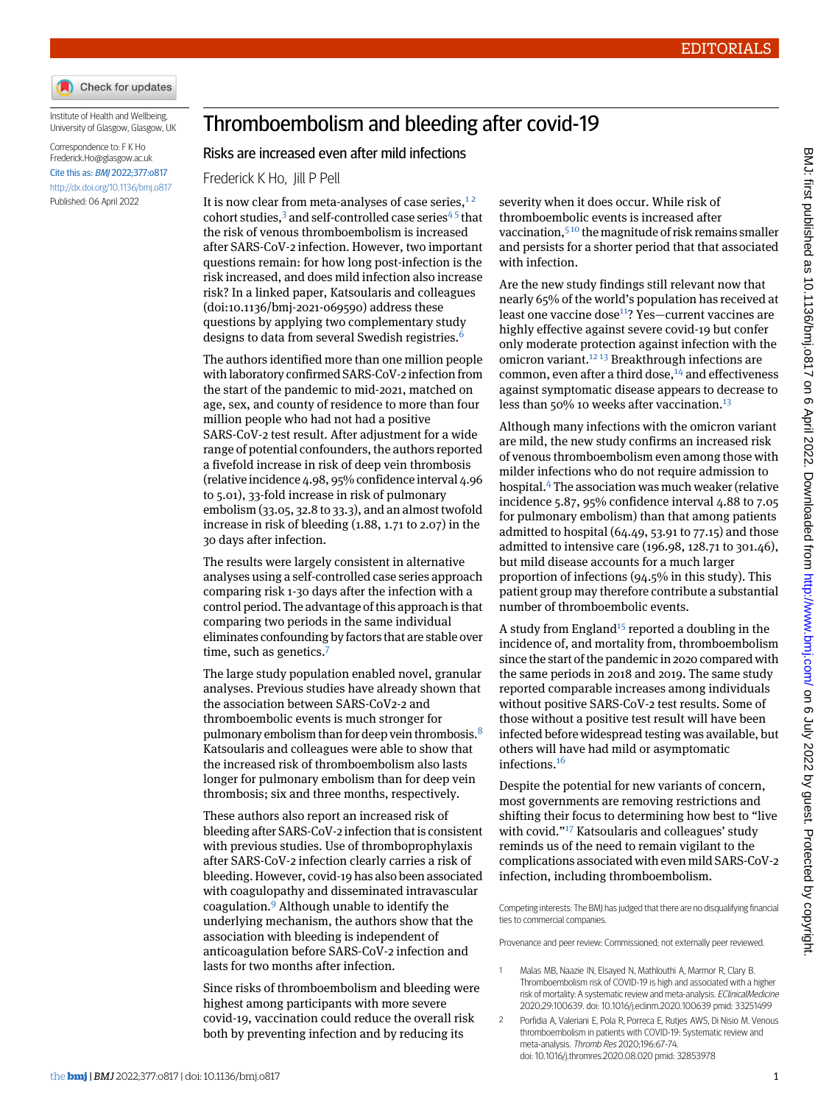

Institute of Health and Wellbeing, University of Glasgow, Glasgow, UK

Correspondence to: F K Ho [Frederick.Ho@glasgow.ac.uk](mailto:Frederick.Ho@glasgow.ac.uk) Cite this as: BMJ 2022;377:o817 <http://dx.doi.org/10.1136/bmj.o817> Published: 06 April 2022

## Thromboembolism and bleeding after covid-19

## Risks are increased even after mild infections

Frederick K Ho, Jill P Pell

It is now clear from meta-analyses of case series, $12$  $12$ cohort studies, $3$  and self-controlled case series<sup>[4](#page-1-1)5</sup> that the risk of venous thromboembolism is increased after SARS-CoV-2 infection. However, two important questions remain: for how long post-infection is the risk increased, and does mild infection also increase risk? In a linked paper, Katsoularis and colleagues (doi[:10.1136/bmj-2021-069590\)](http://dx.doi.org/10.1136/bmj-2021-069590) address these questions by applying two complementary study designs to data from several Swedish registries.<sup>[6](#page-1-3)</sup>

The authors identified more than one million people with laboratory confirmed SARS-CoV-2 infection from the start of the pandemic to mid-2021, matched on age, sex, and county of residence to more than four million people who had not had a positive SARS-CoV-2 test result. After adjustment for a wide range of potential confounders, the authors reported a fivefold increase in risk of deep vein thrombosis (relative incidence 4.98, 95% confidence interval 4.96 to 5.01), 33-fold increase in risk of pulmonary embolism (33.05, 32.8 to 33.3), and an almost twofold increase in risk of bleeding (1.88, 1.71 to 2.07) in the 30 days after infection.

The results were largely consistent in alternative analyses using a self-controlled case series approach comparing risk 1-30 days after the infection with a control period. The advantage of this approach is that comparing two periods in the same individual eliminates confounding by factors that are stable over time, such as genetics.<sup>[7](#page-1-4)</sup>

The large study population enabled novel, granular analyses. Previous studies have already shown that the association between SARS-CoV2-2 and thromboembolic events is much stronger for pulmonary embolism than for deep vein thrombosis.<sup>[8](#page-1-5)</sup> Katsoularis and colleagues were able to show that the increased risk of thromboembolism also lasts longer for pulmonary embolism than for deep vein thrombosis; six and three months, respectively.

These authors also report an increased risk of bleeding after SARS-CoV-2 infection that is consistent with previous studies. Use of thromboprophylaxis after SARS-CoV-2 infection clearly carries a risk of bleeding. However, covid-19 has also been associated with coagulopathy and disseminated intravascular coagulation.[9](#page-1-6) Although unable to identify the underlying mechanism, the authors show that the association with bleeding is independent of anticoagulation before SARS-CoV-2 infection and lasts for two months after infection.

Since risks of thromboembolism and bleeding were highest among participants with more severe covid-19, vaccination could reduce the overall risk both by preventing infection and by reducing its

severity when it does occur. While risk of thromboembolic events is increased after vaccination,<sup>[5](#page-1-2)10</sup> the magnitude of risk remains smaller and persists for a shorter period that that associated with infection.

Are the new study findings still relevant now that nearly 65% of the world's population has received at least one vaccine dose<sup>[11](#page-1-8)</sup>? Yes-current vaccines are highly effective against severe covid-19 but confer only moderate protection against infection with the omicron variant.[12](#page-1-9) [13](#page-1-10) Breakthrough infections are common, even after a third dose, $14$  and effectiveness against symptomatic disease appears to decrease to less than  $50\%$  10 weeks after vaccination.<sup>[13](#page-1-10)</sup>

Although many infections with the omicron variant are mild, the new study confirms an increased risk of venous thromboembolism even among those with milder infections who do not require admission to hospital.[4](#page-1-1) The association was much weaker (relative incidence 5.87, 95% confidence interval 4.88 to 7.05 for pulmonary embolism) than that among patients admitted to hospital (64.49, 53.91 to 77.15) and those admitted to intensive care (196.98, 128.71 to 301.46), but mild disease accounts for a much larger proportion of infections (94.5% in this study). This patient group may therefore contribute a substantial number of thromboembolic events.

A study from England<sup>[15](#page-1-12)</sup> reported a doubling in the incidence of, and mortality from, thromboembolism since the start of the pandemic in 2020 compared with the same periods in 2018 and 2019. The same study reported comparable increases among individuals without positive SARS-CoV-2 test results. Some of those without a positive test result will have been infected before widespread testing was available, but others will have had mild or asymptomatic infections.[16](#page-1-13)

Despite the potential for new variants of concern, most governments are removing restrictions and shifting their focus to determining how best to "live with covid."<sup>[17](#page-1-14)</sup> Katsoularis and colleagues' study reminds us of the need to remain vigilant to the complications associated with even mild SARS-CoV-2 infection, including thromboembolism.

<span id="page-0-1"></span><span id="page-0-0"></span>Competing interests: The BMJ has judged that there are no disqualifying financial ties to commercial companies.

Provenance and peer review: Commissioned; not externally peer reviewed.

- 1 Malas MB, Naazie IN, Elsayed N, Mathlouthi A, Marmor R, Clary B. Thromboembolism risk of COVID-19 is high and associated with a higher risk of mortality: A systematic review and meta-analysis. EClinicalMedicine 2020;29:100639. doi: 10.1016/j.eclinm.2020.100639 pmid: 33251499
- 2 Porfidia A, Valeriani E, Pola R, Porreca E, Rutjes AWS, Di Nisio M. Venous thromboembolism in patients with COVID-19: Systematic review and meta-analysis. Thromb Res 2020;196:67-74. doi: 10.1016/j.thromres.2020.08.020 pmid: 32853978